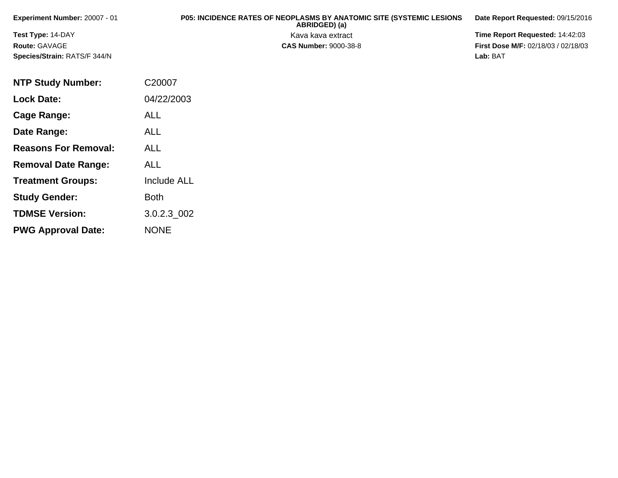| <b>Experiment Number: 20007 - 01</b> | <b>P05: INCIDENCE RATES OF NEOPLASMS BY ANATOMIC SITE (SYSTEMIC LESIONS)</b><br>ABRIDGED) (a) | Date Report Requested: 09/15/2016          |
|--------------------------------------|-----------------------------------------------------------------------------------------------|--------------------------------------------|
| <b>Test Type: 14-DAY</b>             | Kava kava extract                                                                             | <b>Time Report Requested: 14:42:03</b>     |
| Route: GAVAGE                        | <b>CAS Number: 9000-38-8</b>                                                                  | <b>First Dose M/F: 02/18/03 / 02/18/03</b> |
| <b>Species/Strain: RATS/F 344/N</b>  |                                                                                               | Lab: BAT                                   |

| <b>NTP Study Number:</b>    | C20007             |
|-----------------------------|--------------------|
| <b>Lock Date:</b>           | 04/22/2003         |
| Cage Range:                 | <b>ALL</b>         |
| Date Range:                 | ALL                |
| <b>Reasons For Removal:</b> | ALL                |
| <b>Removal Date Range:</b>  | ALL                |
| <b>Treatment Groups:</b>    | <b>Include ALL</b> |
| <b>Study Gender:</b>        | Both               |
| <b>TDMSE Version:</b>       | 3.0.2.3_002        |
| <b>PWG Approval Date:</b>   | <b>NONE</b>        |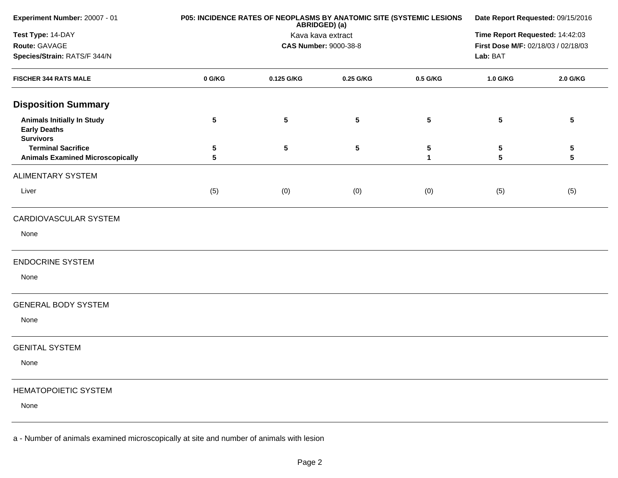| Experiment Number: 20007 - 01                                                | P05: INCIDENCE RATES OF NEOPLASMS BY ANATOMIC SITE (SYSTEMIC LESIONS | Date Report Requested: 09/15/2016 |                              |                   |                                     |                      |
|------------------------------------------------------------------------------|----------------------------------------------------------------------|-----------------------------------|------------------------------|-------------------|-------------------------------------|----------------------|
| Test Type: 14-DAY                                                            |                                                                      | Kava kava extract                 |                              |                   |                                     |                      |
| Route: GAVAGE                                                                |                                                                      |                                   | <b>CAS Number: 9000-38-8</b> |                   | First Dose M/F: 02/18/03 / 02/18/03 |                      |
| Species/Strain: RATS/F 344/N                                                 |                                                                      |                                   |                              |                   | Lab: BAT                            |                      |
| <b>FISCHER 344 RATS MALE</b>                                                 | 0 G/KG                                                               | 0.125 G/KG                        | 0.25 G/KG                    | 0.5 G/KG          | 1.0 G/KG                            | 2.0 G/KG             |
| <b>Disposition Summary</b>                                                   |                                                                      |                                   |                              |                   |                                     |                      |
| <b>Animals Initially In Study</b><br><b>Early Deaths</b><br><b>Survivors</b> | 5                                                                    | ${\bf 5}$                         | $5\phantom{.0}$              | $5\phantom{.0}$   | $5\phantom{.0}$                     | ${\bf 5}$            |
| <b>Terminal Sacrifice</b><br><b>Animals Examined Microscopically</b>         | 5<br>5                                                               | ${\bf 5}$                         | 5                            | 5<br>$\mathbf{1}$ | 5<br>5                              | 5<br>$5\phantom{.0}$ |
| ALIMENTARY SYSTEM                                                            |                                                                      |                                   |                              |                   |                                     |                      |
| Liver                                                                        | (5)                                                                  | (0)                               | (0)                          | (0)               | (5)                                 | (5)                  |
| CARDIOVASCULAR SYSTEM                                                        |                                                                      |                                   |                              |                   |                                     |                      |
| None                                                                         |                                                                      |                                   |                              |                   |                                     |                      |
| <b>ENDOCRINE SYSTEM</b>                                                      |                                                                      |                                   |                              |                   |                                     |                      |
| None                                                                         |                                                                      |                                   |                              |                   |                                     |                      |
| <b>GENERAL BODY SYSTEM</b>                                                   |                                                                      |                                   |                              |                   |                                     |                      |
| None                                                                         |                                                                      |                                   |                              |                   |                                     |                      |
| <b>GENITAL SYSTEM</b>                                                        |                                                                      |                                   |                              |                   |                                     |                      |
| None                                                                         |                                                                      |                                   |                              |                   |                                     |                      |
| <b>HEMATOPOIETIC SYSTEM</b>                                                  |                                                                      |                                   |                              |                   |                                     |                      |
| None                                                                         |                                                                      |                                   |                              |                   |                                     |                      |
|                                                                              |                                                                      |                                   |                              |                   |                                     |                      |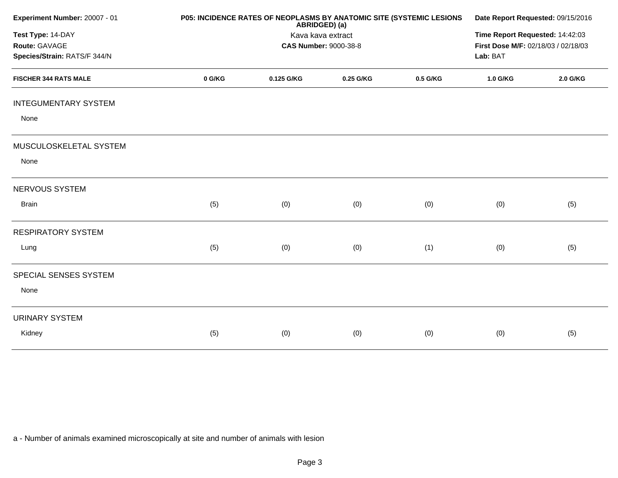| Experiment Number: 20007 - 01                                      | P05: INCIDENCE RATES OF NEOPLASMS BY ANATOMIC SITE (SYSTEMIC LESIONS | Date Report Requested: 09/15/2016<br>Time Report Requested: 14:42:03<br>First Dose M/F: 02/18/03 / 02/18/03<br>Lab: BAT |           |          |          |          |
|--------------------------------------------------------------------|----------------------------------------------------------------------|-------------------------------------------------------------------------------------------------------------------------|-----------|----------|----------|----------|
| Test Type: 14-DAY<br>Route: GAVAGE<br>Species/Strain: RATS/F 344/N |                                                                      |                                                                                                                         |           |          |          |          |
| <b>FISCHER 344 RATS MALE</b>                                       | 0 G/KG                                                               | 0.125 G/KG                                                                                                              | 0.25 G/KG | 0.5 G/KG | 1.0 G/KG | 2.0 G/KG |
| <b>INTEGUMENTARY SYSTEM</b>                                        |                                                                      |                                                                                                                         |           |          |          |          |
| None                                                               |                                                                      |                                                                                                                         |           |          |          |          |
| MUSCULOSKELETAL SYSTEM                                             |                                                                      |                                                                                                                         |           |          |          |          |
| None                                                               |                                                                      |                                                                                                                         |           |          |          |          |
| NERVOUS SYSTEM                                                     |                                                                      |                                                                                                                         |           |          |          |          |
| <b>Brain</b>                                                       | (5)                                                                  | (0)                                                                                                                     | (0)       | (0)      | (0)      | (5)      |
| <b>RESPIRATORY SYSTEM</b>                                          |                                                                      |                                                                                                                         |           |          |          |          |
| Lung                                                               | (5)                                                                  | (0)                                                                                                                     | (0)       | (1)      | (0)      | (5)      |
| SPECIAL SENSES SYSTEM                                              |                                                                      |                                                                                                                         |           |          |          |          |
| None                                                               |                                                                      |                                                                                                                         |           |          |          |          |
| <b>URINARY SYSTEM</b>                                              |                                                                      |                                                                                                                         |           |          |          |          |
| Kidney                                                             | (5)                                                                  | (0)                                                                                                                     | (0)       | (0)      | (0)      | (5)      |
|                                                                    |                                                                      |                                                                                                                         |           |          |          |          |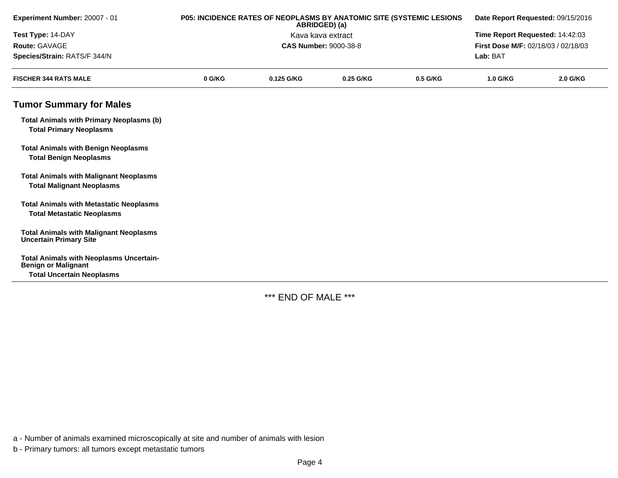| Experiment Number: 20007 - 01                                                       |        | P05: INCIDENCE RATES OF NEOPLASMS BY ANATOMIC SITE (SYSTEMIC LESIONS<br>ABRIDGED) (a) | Date Report Requested: 09/15/2016 |          |                                     |          |  |
|-------------------------------------------------------------------------------------|--------|---------------------------------------------------------------------------------------|-----------------------------------|----------|-------------------------------------|----------|--|
| Test Type: 14-DAY                                                                   |        | Kava kava extract                                                                     | Time Report Requested: 14:42:03   |          |                                     |          |  |
| Route: GAVAGE                                                                       |        |                                                                                       | <b>CAS Number: 9000-38-8</b>      |          | First Dose M/F: 02/18/03 / 02/18/03 |          |  |
| Species/Strain: RATS/F 344/N                                                        |        |                                                                                       |                                   |          | Lab: BAT                            |          |  |
| <b>FISCHER 344 RATS MALE</b>                                                        | 0 G/KG | 0.125 G/KG                                                                            | 0.25 G/KG                         | 0.5 G/KG | 1.0 G/KG                            | 2.0 G/KG |  |
| <b>Tumor Summary for Males</b>                                                      |        |                                                                                       |                                   |          |                                     |          |  |
| <b>Total Animals with Primary Neoplasms (b)</b><br><b>Total Primary Neoplasms</b>   |        |                                                                                       |                                   |          |                                     |          |  |
| <b>Total Animals with Benign Neoplasms</b><br><b>Total Benign Neoplasms</b>         |        |                                                                                       |                                   |          |                                     |          |  |
| <b>Total Animals with Malignant Neoplasms</b><br><b>Total Malignant Neoplasms</b>   |        |                                                                                       |                                   |          |                                     |          |  |
| <b>Total Animals with Metastatic Neoplasms</b><br><b>Total Metastatic Neoplasms</b> |        |                                                                                       |                                   |          |                                     |          |  |
| <b>Total Animals with Malignant Neoplasms</b><br><b>Uncertain Primary Site</b>      |        |                                                                                       |                                   |          |                                     |          |  |
| <b>Total Animals with Neoplasms Uncertain-</b><br><b>Benign or Malignant</b>        |        |                                                                                       |                                   |          |                                     |          |  |
| <b>Total Uncertain Neoplasms</b>                                                    |        |                                                                                       |                                   |          |                                     |          |  |

\*\*\* END OF MALE \*\*\*

a - Number of animals examined microscopically at site and number of animals with lesion

b - Primary tumors: all tumors except metastatic tumors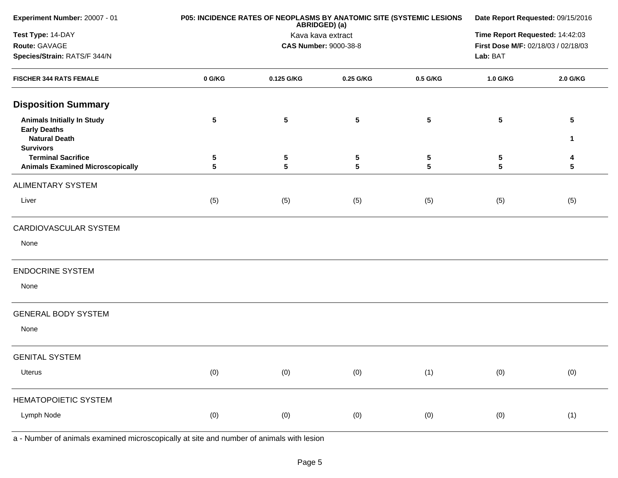| Experiment Number: 20007 - 01                                                                        | P05: INCIDENCE RATES OF NEOPLASMS BY ANATOMIC SITE (SYSTEMIC LESIONS | Date Report Requested: 09/15/2016 |                              |          |                                     |                      |
|------------------------------------------------------------------------------------------------------|----------------------------------------------------------------------|-----------------------------------|------------------------------|----------|-------------------------------------|----------------------|
| Test Type: 14-DAY                                                                                    |                                                                      | Kava kava extract                 |                              |          |                                     |                      |
| Route: GAVAGE                                                                                        |                                                                      |                                   | <b>CAS Number: 9000-38-8</b> |          | First Dose M/F: 02/18/03 / 02/18/03 |                      |
| Species/Strain: RATS/F 344/N                                                                         |                                                                      |                                   | Lab: BAT                     |          |                                     |                      |
| <b>FISCHER 344 RATS FEMALE</b>                                                                       | 0 G/KG                                                               | 0.125 G/KG                        | 0.25 G/KG                    | 0.5 G/KG | 1.0 G/KG                            | 2.0 G/KG             |
| <b>Disposition Summary</b>                                                                           |                                                                      |                                   |                              |          |                                     |                      |
| <b>Animals Initially In Study</b><br><b>Early Deaths</b><br><b>Natural Death</b><br><b>Survivors</b> | $5\phantom{.0}$                                                      | 5                                 | 5                            | 5        | $5\phantom{.0}$                     | $5\phantom{.0}$<br>1 |
| <b>Terminal Sacrifice</b><br><b>Animals Examined Microscopically</b>                                 | 5<br>5                                                               | 5<br>$5\phantom{.0}$              | 5<br>5                       | 5<br>5   | 5<br>5                              | 4<br>5               |
| <b>ALIMENTARY SYSTEM</b>                                                                             |                                                                      |                                   |                              |          |                                     |                      |
| Liver                                                                                                | (5)                                                                  | (5)                               | (5)                          | (5)      | (5)                                 | (5)                  |
| CARDIOVASCULAR SYSTEM                                                                                |                                                                      |                                   |                              |          |                                     |                      |
| None                                                                                                 |                                                                      |                                   |                              |          |                                     |                      |
| <b>ENDOCRINE SYSTEM</b>                                                                              |                                                                      |                                   |                              |          |                                     |                      |
| None                                                                                                 |                                                                      |                                   |                              |          |                                     |                      |
| <b>GENERAL BODY SYSTEM</b>                                                                           |                                                                      |                                   |                              |          |                                     |                      |
| None                                                                                                 |                                                                      |                                   |                              |          |                                     |                      |
| <b>GENITAL SYSTEM</b>                                                                                |                                                                      |                                   |                              |          |                                     |                      |
| Uterus                                                                                               | (0)                                                                  | (0)                               | (0)                          | (1)      | (0)                                 | (0)                  |
| <b>HEMATOPOIETIC SYSTEM</b>                                                                          |                                                                      |                                   |                              |          |                                     |                      |
| Lymph Node                                                                                           | (0)                                                                  | (0)                               | (0)                          | (0)      | (0)                                 | (1)                  |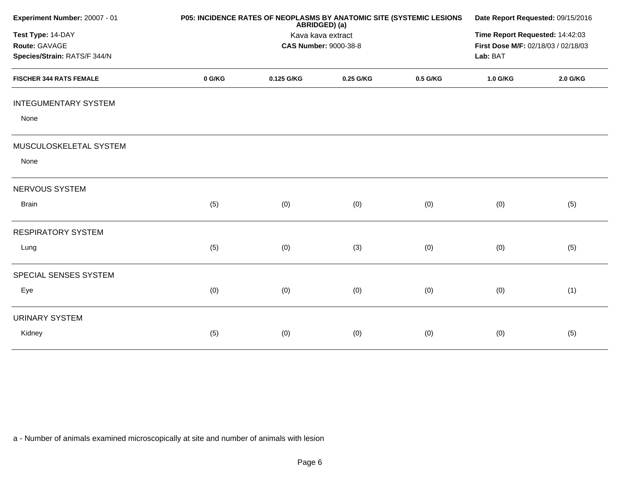| Experiment Number: 20007 - 01                                      | P05: INCIDENCE RATES OF NEOPLASMS BY ANATOMIC SITE (SYSTEMIC LESIONS | Date Report Requested: 09/15/2016<br>Time Report Requested: 14:42:03<br>First Dose M/F: 02/18/03 / 02/18/03<br>Lab: BAT |           |          |          |          |
|--------------------------------------------------------------------|----------------------------------------------------------------------|-------------------------------------------------------------------------------------------------------------------------|-----------|----------|----------|----------|
| Test Type: 14-DAY<br>Route: GAVAGE<br>Species/Strain: RATS/F 344/N |                                                                      |                                                                                                                         |           |          |          |          |
| <b>FISCHER 344 RATS FEMALE</b>                                     | 0 G/KG                                                               | 0.125 G/KG                                                                                                              | 0.25 G/KG | 0.5 G/KG | 1.0 G/KG | 2.0 G/KG |
| <b>INTEGUMENTARY SYSTEM</b><br>None                                |                                                                      |                                                                                                                         |           |          |          |          |
| MUSCULOSKELETAL SYSTEM<br>None                                     |                                                                      |                                                                                                                         |           |          |          |          |
| NERVOUS SYSTEM                                                     |                                                                      |                                                                                                                         |           |          |          |          |
| <b>Brain</b>                                                       | (5)                                                                  | (0)                                                                                                                     | (0)       | (0)      | (0)      | (5)      |
| <b>RESPIRATORY SYSTEM</b>                                          |                                                                      |                                                                                                                         |           |          |          |          |
| Lung                                                               | (5)                                                                  | (0)                                                                                                                     | (3)       | (0)      | (0)      | (5)      |
| SPECIAL SENSES SYSTEM                                              |                                                                      |                                                                                                                         |           |          |          |          |
| Eye                                                                | (0)                                                                  | (0)                                                                                                                     | (0)       | (0)      | (0)      | (1)      |
| <b>URINARY SYSTEM</b>                                              |                                                                      |                                                                                                                         |           |          |          |          |
| Kidney                                                             | (5)                                                                  | (0)                                                                                                                     | (0)       | (0)      | (0)      | (5)      |